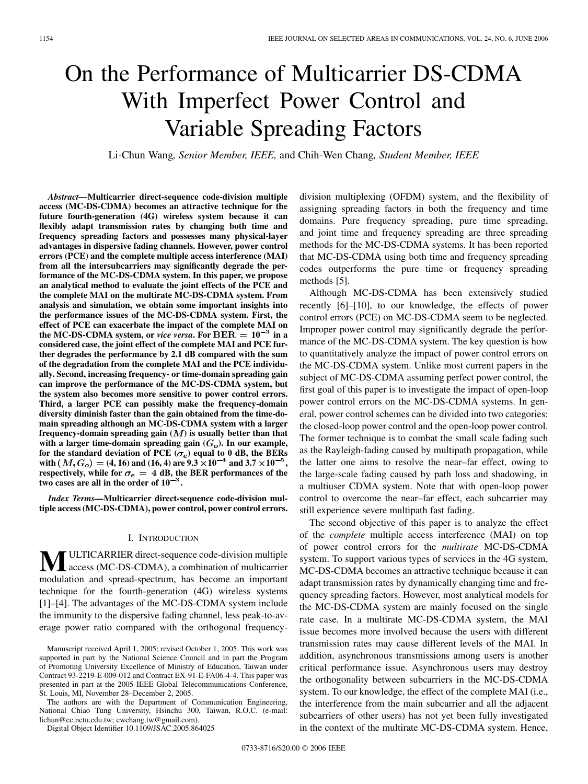# On the Performance of Multicarrier DS-CDMA With Imperfect Power Control and Variable Spreading Factors

Li-Chun Wang*, Senior Member, IEEE,* and Chih-Wen Chang*, Student Member, IEEE*

*Abstract—***Multicarrier direct-sequence code-division multiple access (MC-DS-CDMA) becomes an attractive technique for the future fourth-generation (4G) wireless system because it can flexibly adapt transmission rates by changing both time and frequency spreading factors and possesses many physical-layer advantages in dispersive fading channels. However, power control errors (PCE) and the complete multiple access interference (MAI) from all the intersubcarriers may significantly degrade the performance of the MC-DS-CDMA system. In this paper, we propose an analytical method to evaluate the joint effects of the PCE and the complete MAI on the multirate MC-DS-CDMA system. From analysis and simulation, we obtain some important insights into the performance issues of the MC-DS-CDMA system. First, the effect of PCE can exacerbate the impact of the complete MAI on the MC-DS-CDMA system, or** *vice versa***. For**  $BER = 10^{-3}$  **in a considered case, the joint effect of the complete MAI and PCE further degrades the performance by 2.1 dB compared with the sum of the degradation from the complete MAI and the PCE individually. Second, increasing frequency- or time-domain spreading gain can improve the performance of the MC-DS-CDMA system, but the system also becomes more sensitive to power control errors. Third, a larger PCE can possibly make the frequency-domain diversity diminish faster than the gain obtained from the time-domain spreading although an MC-DS-CDMA system with a larger** frequency-domain spreading gain  $(M)$  is usually better than that with a larger time-domain spreading gain  $(G<sub>o</sub>)$ . In our example, for the standard deviation of PCE  $(\sigma_e)$  equal to 0 dB, the BERs **with**  $(M, G_o) = (4, 16)$  and  $(16, 4)$  are  $9.3 \times 10^{-4}$  and  $3.7 \times 10^{-5}$ , respectively, while for  $\sigma_e = 4$  dB, the BER performances of the two cases are all in the order of  $10^{-3}$ .

*Index Terms—***Multicarrier direct-sequence code-division multiple access (MC-DS-CDMA), power control, power control errors.**

#### I. INTRODUCTION

**M**ULTICARRIER direct-sequence code-division multiple<br>access (MC-DS-CDMA), a combination of multicarrier modulation and spread-spectrum, has become an important technique for the fourth-generation (4G) wireless systems [[1\]](#page-11-0)–[[4](#page-11-0)]. The advantages of the MC-DS-CDMA system include the immunity to the dispersive fading channel, less peak-to-average power ratio compared with the orthogonal frequency-

The authors are with the Department of Communication Engineering, National Chiao Tung University, Hsinchu 300, Taiwan, R.O.C. (e-mail: lichun@cc.nctu.edu.tw; cwchang.tw@gmail.com).

Digital Object Identifier 10.1109/JSAC.2005.864025

division multiplexing (OFDM) system, and the flexibility of assigning spreading factors in both the frequency and time domains. Pure frequency spreading, pure time spreading, and joint time and frequency spreading are three spreading methods for the MC-DS-CDMA systems. It has been reported that MC-DS-CDMA using both time and frequency spreading codes outperforms the pure time or frequency spreading methods [[5\]](#page-11-0).

Although MC-DS-CDMA has been extensively studied recently [[6\]](#page-11-0)–[\[10](#page-11-0)], to our knowledge, the effects of power control errors (PCE) on MC-DS-CDMA seem to be neglected. Improper power control may significantly degrade the performance of the MC-DS-CDMA system. The key question is how to quantitatively analyze the impact of power control errors on the MC-DS-CDMA system. Unlike most current papers in the subject of MC-DS-CDMA assuming perfect power control, the first goal of this paper is to investigate the impact of open-loop power control errors on the MC-DS-CDMA systems. In general, power control schemes can be divided into two categories: the closed-loop power control and the open-loop power control. The former technique is to combat the small scale fading such as the Rayleigh-fading caused by multipath propagation, while the latter one aims to resolve the near–far effect, owing to the large-scale fading caused by path loss and shadowing, in a multiuser CDMA system. Note that with open-loop power control to overcome the near–far effect, each subcarrier may still experience severe multipath fast fading.

The second objective of this paper is to analyze the effect of the *complete* multiple access interference (MAI) on top of power control errors for the *multirate* MC-DS-CDMA system. To support various types of services in the 4G system, MC-DS-CDMA becomes an attractive technique because it can adapt transmission rates by dynamically changing time and frequency spreading factors. However, most analytical models for the MC-DS-CDMA system are mainly focused on the single rate case. In a multirate MC-DS-CDMA system, the MAI issue becomes more involved because the users with different transmission rates may cause different levels of the MAI. In addition, asynchronous transmissions among users is another critical performance issue. Asynchronous users may destroy the orthogonality between subcarriers in the MC-DS-CDMA system. To our knowledge, the effect of the complete MAI (i.e., the interference from the main subcarrier and all the adjacent subcarriers of other users) has not yet been fully investigated in the context of the multirate MC-DS-CDMA system. Hence,

Manuscript received April 1, 2005; revised October 1, 2005. This work was supported in part by the National Science Council and in part the Program of Promoting University Excellence of Ministry of Education, Taiwan under Contract 93-2219-E-009-012 and Contract EX-91-E-FA06-4-4. This paper was presented in part at the 2005 IEEE Global Telecommunications Conference, St. Louis, MI, November 28–December 2, 2005.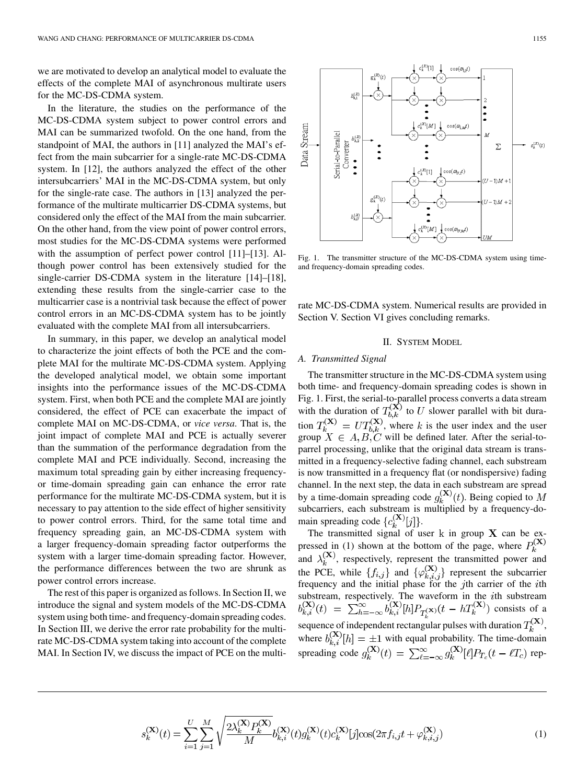we are motivated to develop an analytical model to evaluate the effects of the complete MAI of asynchronous multirate users for the MC-DS-CDMA system.

In the literature, the studies on the performance of the MC-DS-CDMA system subject to power control errors and MAI can be summarized twofold. On the one hand, from the standpoint of MAI, the authors in [\[11](#page-11-0)] analyzed the MAI's effect from the main subcarrier for a single-rate MC-DS-CDMA system. In [\[12](#page-11-0)], the authors analyzed the effect of the other intersubcarriers' MAI in the MC-DS-CDMA system, but only for the single-rate case. The authors in [[13\]](#page-11-0) analyzed the performance of the multirate multicarrier DS-CDMA systems, but considered only the effect of the MAI from the main subcarrier. On the other hand, from the view point of power control errors, most studies for the MC-DS-CDMA systems were performed with the assumption of perfect power control [\[11](#page-11-0)]–[\[13\]](#page-11-0). Although power control has been extensively studied for the single-carrier DS-CDMA system in the literature [[14\]](#page-11-0)–[\[18](#page-11-0)], extending these results from the single-carrier case to the multicarrier case is a nontrivial task because the effect of power control errors in an MC-DS-CDMA system has to be jointly evaluated with the complete MAI from all intersubcarriers.

In summary, in this paper, we develop an analytical model to characterize the joint effects of both the PCE and the complete MAI for the multirate MC-DS-CDMA system. Applying the developed analytical model, we obtain some important insights into the performance issues of the MC-DS-CDMA system. First, when both PCE and the complete MAI are jointly considered, the effect of PCE can exacerbate the impact of complete MAI on MC-DS-CDMA, or *vice versa*. That is, the joint impact of complete MAI and PCE is actually severer than the summation of the performance degradation from the complete MAI and PCE individually. Second, increasing the maximum total spreading gain by either increasing frequencyor time-domain spreading gain can enhance the error rate performance for the multirate MC-DS-CDMA system, but it is necessary to pay attention to the side effect of higher sensitivity to power control errors. Third, for the same total time and frequency spreading gain, an MC-DS-CDMA system with a larger frequency-domain spreading factor outperforms the system with a larger time-domain spreading factor. However, the performance differences between the two are shrunk as power control errors increase.

The rest of this paper is organized as follows. In Section II, we introduce the signal and system models of the MC-DS-CDMA system using both time- and frequency-domain spreading codes. In Section III, we derive the error rate probability for the multirate MC-DS-CDMA system taking into account of the complete MAI. In Section IV, we discuss the impact of PCE on the multi-



 $c_{1}^{(X)}[1]$ 

 $\mathbf{g}_k^{(X)}(t)$ 

 $b_{k,1}^{(X)}$ 

 $cos(\omega_{11}t)$ 

2

Fig. 1. The transmitter structure of the MC-DS-CDMA system using timeand frequency-domain spreading codes.

rate MC-DS-CDMA system. Numerical results are provided in Section V. Section VI gives concluding remarks.

## II. SYSTEM MODEL

## *A. Transmitted Signal*

The transmitter structure in the MC-DS-CDMA system using both time- and frequency-domain spreading codes is shown in Fig. 1. First, the serial-to-parallel process converts a data stream with the duration of  $T_{b,k}^{(\mathbf{X})}$  to U slower parallel with bit duration  $T_k^{(\mathbf{X})} = UT_{b,k}^{(\mathbf{X})}$ , where k is the user index and the user group  $X \in A, B, C$  will be defined later. After the serial-toparrel processing, unlike that the original data stream is transmitted in a frequency-selective fading channel, each substream is now transmitted in a frequency flat (or nondispersive) fading channel. In the next step, the data in each substream are spread by a time-domain spreading code  $g_k^{(\mathbf{X})}(t)$ . Being copied to M subcarriers, each substream is multiplied by a frequency-domain spreading code  $\{c_k^{(\mathbf{X})}[j]\}.$ 

The transmitted signal of user k in group  $X$  can be expressed in (1) shown at the bottom of the page, where  $P_k^{(X)}$ and  $\lambda_k^{(\Lambda)}$ , respectively, represent the transmitted power and the PCE, while  $\{f_{i,j}\}\$ and  $\{\varphi_{k,j}^{(\mathbf{A})}\}$  represent the subcarrier frequency and the initial phase for the  $j$ th carrier of the  $i$ th substream, respectively. The waveform in the  $i$ th substream consists of a sequence of independent rectangular pulses with duration  $T_k^{(\mathbf{X})}$ , where  $b_{k,i}^{(\mathbf{A})}[h] = \pm 1$  with equal probability. The time-domain spreading code  $g_k^{(\mathbf{A})}(t) = \sum_{\ell=-\infty}^{\infty} g_k^{(\mathbf{A})}[\ell] P_{T_c}(t-\ell T_c)$  rep-

$$
s_k^{(\mathbf{X})}(t) = \sum_{i=1}^{U} \sum_{j=1}^{M} \sqrt{\frac{2\lambda_k^{(\mathbf{X})} P_k^{(\mathbf{X})}}{M}} b_{k,i}^{(\mathbf{X})}(t) g_k^{(\mathbf{X})}(t) c_k^{(\mathbf{X})}[j] \cos(2\pi f_{i,j} t + \varphi_{k,i,j}^{(\mathbf{X})})
$$
(1)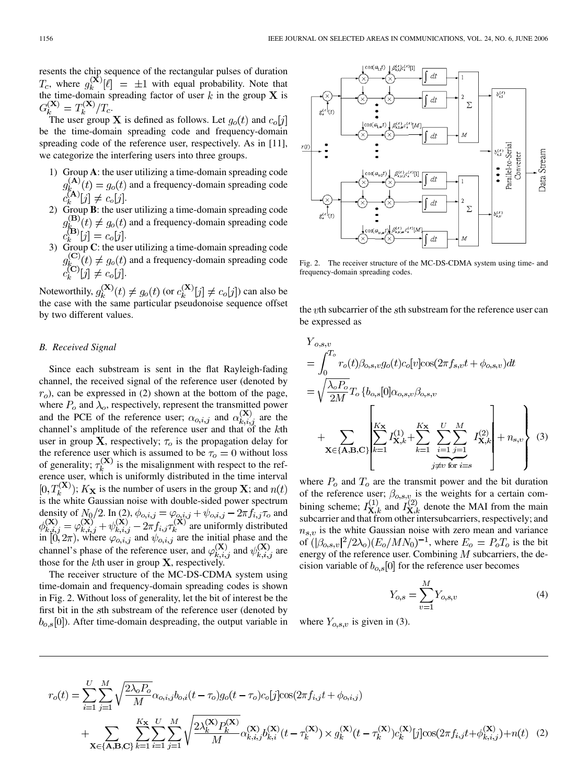resents the chip sequence of the rectangular pulses of duration , where  $g_k^{(\mathbf{A})}[\ell] = \pm 1$  with equal probability. Note that the time-domain spreading factor of user k in the group  $X$  is  $G_k^{(X)} = T_k^{(X)}/T_c$ .

The user group **X** is defined as follows. Let  $g_o(t)$  and  $c_o[j]$ be the time-domain spreading code and frequency-domain spreading code of the reference user, respectively. As in [[11\]](#page-11-0), we categorize the interfering users into three groups.

- 1) Group **A**: the user utilizing a time-domain spreading code and a frequency-domain spreading code .
- 2) Group **B**: the user utilizing a time-domain spreading code  $a_k^{(\mathbf{B})}(t) \neq g_o(t)$  and a frequency-domain spreading code  $g_k^{(B)}(t) \neq g_o(t)$ <br>  $c_k^{(B)}[j] = c_o[j].$
- 3) Group **C**: the user utilizing a time-domain spreading code and a frequency-domain spreading code .

Noteworthily,  $g_k^{(\mathbf{X})}(t) \neq g_o(t)$  (or  $c_k^{(\mathbf{X})}[j] \neq c_o[j]$ ) can also be the case with the same particular pseudonoise sequence offset by two different values.

## *B. Received Signal*

Since each substream is sent in the flat Rayleigh-fading channel, the received signal of the reference user (denoted by  $r<sub>o</sub>$ ), can be expressed in (2) shown at the bottom of the page, where  $P_0$  and  $\lambda_0$ , respectively, represent the transmitted power and the PCE of the reference user;  $\alpha_{o,i,j}$  and  $\alpha_{k,i,j}^{(\mathbf{X})}$  are the channel's amplitude of the reference user and that of the  $k$ th user in group **X**, respectively;  $\tau_o$  is the propagation delay for the reference user which is assumed to be  $\tau_o = 0$  without loss of generality;  $\tau_k^{(\mathbf{X})}$  is the misalignment with respect to the reference user, which is uniformly distributed in the time interval  $[0, T_k^{(\mathbf{X})}$ ;  $K_{\mathbf{X}}$  is the number of users in the group **X**; and  $n(t)$ is the white Gaussian noise with double-sided power spectrum density of  $N_0/2$ . In (2),  $\phi_{o,i,j} = \varphi_{o,i,j} + \psi_{o,i,j} - 2\pi f_{i,j} \tau_o$  and are uniformly distributed in [0,  $2\pi$ ), where  $\varphi_{o,i,j}$  and  $\psi_{o,i,j}$  are the initial phase and the channel's phase of the reference user, and  $\varphi_{k,i,j}^{(\mathbf{X})}$  and  $\psi_{k,i,j}^{(\mathbf{X})}$  are those for the  $k$ th user in group  $X$ , respectively.

The receiver structure of the MC-DS-CDMA system using time-domain and frequency-domain spreading codes is shown in Fig. 2. Without loss of generality, let the bit of interest be the first bit in the sth substream of the reference user (denoted by  $b_{o,s}[0]$ ). After time-domain despreading, the output variable in



Fig. 2. The receiver structure of the MC-DS-CDMA system using time- and frequency-domain spreading codes.

the  $v$ th subcarrier of the  $s$ th substream for the reference user can be expressed as

$$
Y_{o,s,v} = \int_{0}^{T_o} r_o(t) \beta_{o,s,v} g_o(t) c_o[v] \cos(2\pi f_{s,v} t + \phi_{o,s,v}) dt
$$
  
=  $\sqrt{\frac{\lambda_o P_o}{2M}} T_o \{b_{o,s}[0] \alpha_{o,s,v} \beta_{o,s,v}$   
+  $\sum_{\mathbf{X} \in \{\mathbf{A}, \mathbf{B}, \mathbf{C}\}} \left[ \sum_{k=1}^{K_{\mathbf{X}}} I_{\mathbf{X},k}^{(1)} + \sum_{k=1}^{K_{\mathbf{X}}} \underbrace{\sum_{i=1}^{U} \sum_{j=1}^{M}}_{j \neq v \text{ for } i=s} I_{\mathbf{X},k}^{(2)} \right] + n_{s,v}$  (3)

where  $P_0$  and  $T_0$  are the transmit power and the bit duration of the reference user;  $\beta_{o,s,v}$  is the weights for a certain combining scheme;  $I_{\mathbf{X},k}^{(1)}$  and  $I_{\mathbf{X},k}^{(2)}$  denote the MAI from the main subcarrier and that from other intersubcarriers, respectively; and  $n_{s,v}$  is the white Gaussian noise with zero mean and variance of  $(|\beta_{o,s,v}|^2/2\lambda_o)(E_o/MN_0)^{-1}$ , where  $E_o = P_oT_o$  is the bit energy of the reference user. Combining  $M$  subcarriers, the decision variable of  $b_{o,s}[0]$  for the reference user becomes

$$
Y_{o,s} = \sum_{v=1}^{M} Y_{o,s,v}
$$
 (4)

where  $Y_{o,s,v}$  is given in (3).

$$
r_o(t) = \sum_{i=1}^{U} \sum_{j=1}^{M} \sqrt{\frac{2\lambda_o P_o}{M}} \alpha_{o,i,j} b_{o,i}(t-\tau_o) g_o(t-\tau_o) c_o[j] \cos(2\pi f_{i,j}t + \phi_{o,i,j})
$$
  
+ 
$$
\sum_{\mathbf{X} \in \{\mathbf{A}, \mathbf{B}, \mathbf{C}\}} \sum_{k=1}^{K_{\mathbf{X}}} \sum_{i=1}^{U} \sum_{j=1}^{M} \sqrt{\frac{2\lambda_k^{(\mathbf{X})} P_k^{(\mathbf{X})}}{M}} \alpha_{k,i,j}^{(\mathbf{X})} b_{k,i}^{(\mathbf{X})}(t-\tau_k^{(\mathbf{X})}) \times g_k^{(\mathbf{X})}(t-\tau_k^{(\mathbf{X})}) c_k^{(\mathbf{X})}[j] \cos(2\pi f_{i,j}t+\phi_{k,i,j}^{(\mathbf{X})}) + n(t) (2)
$$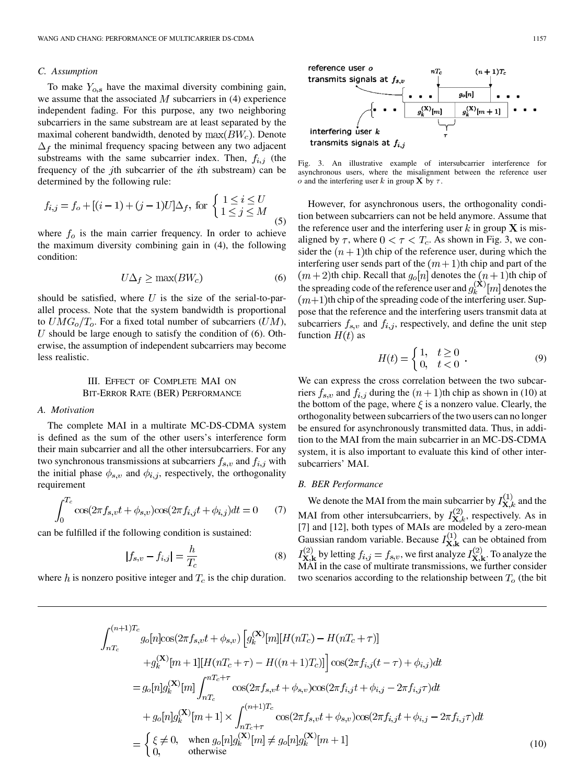## *C. Assumption*

To make  $Y_{o,s}$  have the maximal diversity combining gain, we assume that the associated  $M$  subcarriers in (4) experience independent fading. For this purpose, any two neighboring subcarriers in the same substream are at least separated by the maximal coherent bandwidth, denoted by  $\max(BW_c)$ . Denote  $\Delta_f$  the minimal frequency spacing between any two adjacent substreams with the same subcarrier index. Then,  $f_{i,j}$  (the frequency of the j<sup>th</sup> subcarrier of the *i*th substream) can be determined by the following rule:

$$
f_{i,j} = f_o + [(i-1) + (j-1)U]\Delta_f, \text{ for } \begin{cases} 1 \le i \le U \\ 1 \le j \le M \end{cases}
$$
 (5)

where  $f_0$  is the main carrier frequency. In order to achieve the maximum diversity combining gain in (4), the following condition:

$$
U\Delta_f \ge \max(BW_c) \tag{6}
$$

should be satisfied, where  $U$  is the size of the serial-to-parallel process. Note that the system bandwidth is proportional to  $UMG<sub>o</sub>/T<sub>o</sub>$ . For a fixed total number of subcarriers  $(UM)$ , U should be large enough to satisfy the condition of  $(6)$ . Otherwise, the assumption of independent subcarriers may become less realistic.

## III. EFFECT OF COMPLETE MAI ON BIT-ERROR RATE (BER) PERFORMANCE

#### *A. Motivation*

The complete MAI in a multirate MC-DS-CDMA system is defined as the sum of the other users's interference form their main subcarrier and all the other intersubcarriers. For any two synchronous transmissions at subcarriers  $f_{s,v}$  and  $f_{i,j}$  with the initial phase  $\phi_{s,v}$  and  $\phi_{i,j}$ , respectively, the orthogonality requirement

$$
\int_0^{T_c} \cos(2\pi f_{s,v} t + \phi_{s,v}) \cos(2\pi f_{i,j} t + \phi_{i,j}) dt = 0 \tag{7}
$$

can be fulfilled if the following condition is sustained:

$$
|f_{s,v} - f_{i,j}| = \frac{h}{T_c} \tag{8}
$$

where h is nonzero positive integer and  $T_c$  is the chip duration.



Fig. 3. An illustrative example of intersubcarrier interference for asynchronous users, where the misalignment between the reference user  $o$  and the interfering user k in group **X** by  $\tau$ .

However, for asynchronous users, the orthogonality condition between subcarriers can not be held anymore. Assume that the reference user and the interfering user  $k$  in group  $X$  is misaligned by  $\tau$ , where  $0 < \tau < T_c$ . As shown in Fig. 3, we consider the  $(n + 1)$ th chip of the reference user, during which the interfering user sends part of the  $(m + 1)$ th chip and part of the  $(m+2)$ th chip. Recall that  $g_o[n]$  denotes the  $(n+1)$ th chip of the spreading code of the reference user and  $g_k^{(\mathbf{X})}[m]$  denotes the  $(m+1)$ th chip of the spreading code of the interfering user. Suppose that the reference and the interfering users transmit data at subcarriers  $f_{s,v}$  and  $f_{i,j}$ , respectively, and define the unit step function  $H(t)$  as

$$
H(t) = \begin{cases} 1, & t \ge 0 \\ 0, & t < 0 \end{cases} . \tag{9}
$$

We can express the cross correlation between the two subcarriers  $f_{s,v}$  and  $f_{i,j}$  during the  $(n + 1)$ th chip as shown in (10) at the bottom of the page, where  $\xi$  is a nonzero value. Clearly, the orthogonality between subcarriers of the two users can no longer be ensured for asynchronously transmitted data. Thus, in addition to the MAI from the main subcarrier in an MC-DS-CDMA system, it is also important to evaluate this kind of other intersubcarriers' MAI.

#### *B. BER Performance*

We denote the MAI from the main subcarrier by  $I_{\mathbf{X},k}^{(1)}$  and the MAI from other intersubcarriers, by  $I_{\mathbf{X},k}^{(2)}$ , respectively. As in [\[7](#page-11-0)] and [\[12](#page-11-0)], both types of MAIs are modeled by a zero-mean Gaussian random variable. Because  $I_{\mathbf{X},k}^{(1)}$  can be obtained from  $I_{\mathbf{X},\mathbf{k}}^{(2)}$  by letting  $f_{i,j} = f_{s,v}$ , we first analyze  $I_{\mathbf{X},\mathbf{k}}^{(2)}$ . To analyze the MAI in the case of multirate transmissions, we further consider two scenarios according to the relationship between  $T<sub>o</sub>$  (the bit

$$
\int_{nT_c}^{(n+1)T_c} g_o[n] \cos(2\pi f_{s,v}t + \phi_{s,v}) \left[ g_k^{(\mathbf{X})}[m][H(nT_c) - H(nT_c + \tau)] \right]
$$
  
+
$$
g_k^{(\mathbf{X})}[m+1][H(nT_c + \tau) - H((n+1)T_c)] \right] \cos(2\pi f_{i,j}(t-\tau) + \phi_{i,j}) dt
$$
  
=
$$
g_o[n] g_k^{(\mathbf{X})}[m] \int_{nT_c}^{nT_c+\tau} \cos(2\pi f_{s,v}t + \phi_{s,v}) \cos(2\pi f_{i,j}t + \phi_{i,j} - 2\pi f_{i,j}\tau) dt
$$
  
+
$$
g_o[n] g_k^{(\mathbf{X})}[m+1] \times \int_{nT_c+\tau}^{(n+1)T_c} \cos(2\pi f_{s,v}t + \phi_{s,v}) \cos(2\pi f_{i,j}t + \phi_{i,j} - 2\pi f_{i,j}\tau) dt
$$
  
=
$$
\begin{cases} \xi \neq 0, & \text{when } g_o[n] g_k^{(\mathbf{X})}[m] \neq g_o[n] g_k^{(\mathbf{X})}[m+1] \\ 0, & \text{otherwise} \end{cases}
$$
(10)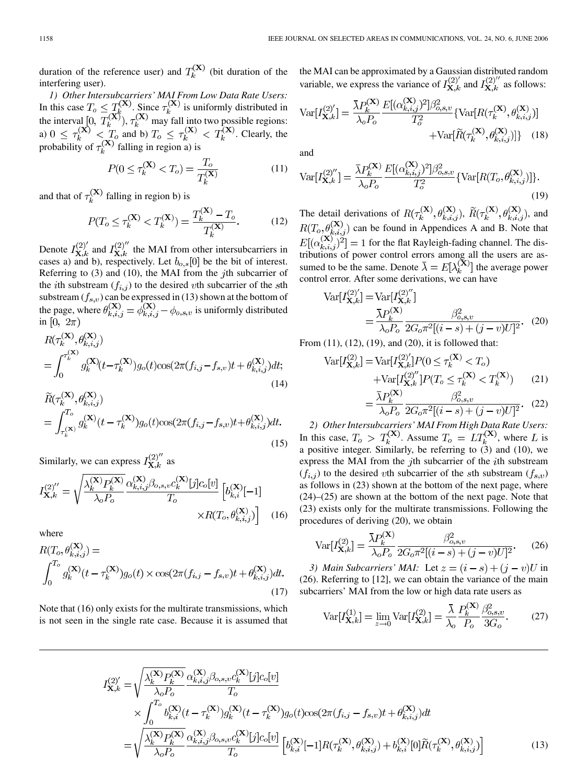duration of the reference user) and  $T_k^{(\mathbf{X})}$  (bit duration of the interfering user).

*1) Other Intersubcarriers' MAI From Low Data Rate Users:* In this case  $T_o \n\t\leq T_k^{(\mathbf{A})}$ . Since  $\tau_k^{(\mathbf{A})}$  is uniformly distributed in the interval  $[0, T_k^{(\mathbf{\Lambda})})$ ,  $\tau_k^{(\mathbf{\Lambda})}$  may fall into two possible regions: a)  $0 \leq \tau_k^{(1)}$  <  $T_o$  and b)  $T_o \leq \tau_k^{(1)}$  <  $T_k^{(1)}$ . Clearly, the probability of  $\tau_k^{(\mathbf{A})}$  falling in region a) is

$$
P(0 \le \tau_k^{(\mathbf{X})} < T_o) = \frac{T_o}{T_k^{(\mathbf{X})}}\tag{11}
$$

and that of  $\tau_k^{(X)}$  falling in region b) is

$$
P(T_o \le \tau_k^{(\mathbf{X})} < T_k^{(\mathbf{X})}) = \frac{T_k^{(\mathbf{X})} - T_o}{T_k^{(\mathbf{X})}}.\tag{12}
$$

Denote  $I_{\mathbf{X},k}^{(2)}$  and  $I_{\mathbf{X},k}^{(2)}$  the MAI from other intersubcarriers in cases a) and b), respectively. Let  $b_{o,s}[0]$  be the bit of interest. Referring to  $(3)$  and  $(10)$ , the MAI from the *j*th subcarrier of the *i*th substream  $(f_{i,j})$  to the desired vth subcarrier of the sth substream  $(f_{s,v})$  can be expressed in (13) shown at the bottom of the page, where  $\theta_{k,i,j}^{(k)} = \phi_{k,i,j}^{(k)} - \phi_{o,s,v}$  is uniformly distributed in [0,  $2\pi$ ]

$$
R(\tau_k^{(\mathbf{X})}, \theta_{k,i,j}^{(\mathbf{X})})
$$
  
= 
$$
\int_0^{\tau_k^{(\mathbf{X})}} g_k^{(\mathbf{X})} (t - \tau_k^{(\mathbf{X})}) g_o(t) \cos(2\pi (f_{i,j} - f_{s,v}) t + \theta_{k,i,j}^{(\mathbf{X})}) dt;
$$
 (14)

$$
\widetilde{R}(\tau_k^{(\mathbf{X})}, \theta_{k,i,j}^{(\mathbf{X})})
$$
\n
$$
= \int_{\tau_k^{(\mathbf{X})}}^{T_o} g_k^{(\mathbf{X})}(t - \tau_k^{(\mathbf{X})}) g_o(t) \cos(2\pi (f_{i,j} - f_{s,v})t + \theta_{k,i,j}^{(\mathbf{X})}) dt.
$$
\n(15)

Similarly, we can express  $I_{\mathbf{X},k}^{(2)''}$  as

$$
I_{\mathbf{X},k}^{(2)''} = \sqrt{\frac{\lambda_k^{(\mathbf{X})} P_k^{(\mathbf{X})}}{\lambda_o P_o} \frac{\alpha_{k,i,j}^{(\mathbf{X})} \beta_{o,s,v} c_k^{(\mathbf{X})}[j] c_o[v]}{T_o} \left[ b_{k,i}^{(\mathbf{X})}[-1] \times R(T_o, \theta_{k,i,j}^{(\mathbf{X})}) \right]}
$$
(16)

where

$$
R(T_o, \theta_{k,i,j}^{(\mathbf{X})}) =
$$
  

$$
\int_0^{T_o} g_k^{(\mathbf{X})} (t - \tau_k^{(\mathbf{X})}) g_o(t) \times \cos(2\pi (f_{i,j} - f_{s,v})t + \theta_{k,i,j}^{(\mathbf{X})}) dt.
$$
 (17)

Note that (16) only exists for the multirate transmissions, which is not seen in the single rate case. Because it is assumed that

the MAI can be approximated by a Gaussian distributed random variable, we express the variance of  $I_{\mathbf{X},k}^{(2)'}$  and  $I_{\mathbf{X},k}^{(2)''}$  as follows:

$$
\text{Var}[I_{\mathbf{X},k}^{(2)'}] = \frac{\overline{\lambda}P_k^{(\mathbf{X})}}{\lambda_o P_o} \frac{E[(\alpha_{k,i,j}^{(\mathbf{X})})^2] \beta_{o,s,v}^2}{T_o^2} \{\text{Var}[R(\tau_k^{(\mathbf{X})}, \theta_{k,i,j}^{(\mathbf{X})})] + \text{Var}[\widetilde{R}(\tau_k^{(\mathbf{X})}, \theta_{k,i,j}^{(\mathbf{X})})]\} \quad (18)
$$

and

$$
\text{Var}[I_{\mathbf{X},k}^{(2)''}] = \frac{\bar{\lambda}P_k^{(\mathbf{X})}}{\lambda_o P_o} \frac{E[(\alpha_{k,i,j}^{(\mathbf{X})})^2] \beta_{o,s,v}^2}{T_o^2} \{\text{Var}[R(T_o, \theta_{k,i,j}^{(\mathbf{X})})]\}.
$$
\n(19)

The detail derivations of  $R(\tau_k^{(\mathbf{X})}, \theta_{k,i,j}^{(\mathbf{X})}), \widetilde{R}(\tau_k^{(\mathbf{X})}, \theta_{k,i,j}^{(\mathbf{X})})$ , and  $R(T_o, \theta_{k,i,j}^{(\mathbf{X})})$  can be found in Appendices A and B. Note that for the flat Rayleigh-fading channel. The distributions of power control errors among all the users are assumed to be the same. Denote  $\bar{\lambda} = E[\lambda_k^{(\bar{X})}]$  the average power control error. After some derivations, we can have

$$
\begin{split} \text{Var}[I_{\mathbf{X},k}^{(2)}] &= \text{Var}[I_{\mathbf{X},k}^{(2)''}] \\ &= \frac{\bar{\lambda}P_k^{(\mathbf{X})}}{\lambda_o P_o} \frac{\beta_{o,s,v}^2}{2G_o \pi^2 [(i-s) + (j-v)U]^2}. \end{split} \tag{20}
$$

From (11), (12), (19), and (20), it is followed that:

$$
\operatorname{Var}[I_{\mathbf{X},k}^{(2)}] = \operatorname{Var}[I_{\mathbf{X},k}^{(2)'}] P(0 \le \tau_k^{(\mathbf{X})} < T_o)
$$
\n
$$
+ \operatorname{Var}[I_{\mathbf{X},k}^{(2)''}] P(T_o \le \tau_k^{(\mathbf{X})} < T_k^{(\mathbf{X})}) \tag{21}
$$
\n
$$
= \frac{\bar{\lambda} P_k^{(\mathbf{X})}}{\lambda_o P_o} \frac{\beta_{o,s,v}^2}{2G_o \pi^2 [(i-s) + (j-v)U]^2}. \tag{22}
$$

*2) Other Intersubcarriers' MAI From High Data Rate Users:* In this case,  $T_o > T_k^{(\mathbf{X})}$ . Assume  $T_o = LT_k^{(\mathbf{X})}$ , where L is a positive integer. Similarly, be referring to (3) and (10), we express the MAI from the  $j$ th subcarrier of the  $i$ th substream  $(f_{i,j})$  to the desired vth subcarrier of the sth substream  $(f_{s,v})$ as follows in (23) shown at the bottom of the next page, where (24)–(25) are shown at the bottom of the next page. Note that (23) exists only for the multirate transmissions. Following the procedures of deriving (20), we obtain

$$
\text{Var}[I_{\mathbf{X},k}^{(2)}] = \frac{\bar{\lambda}P_k^{(\mathbf{X})}}{\lambda_o P_o} \frac{\beta_{o,s,v}^2}{2G_o \pi^2 [(i-s) + (j-v)U]^2}.
$$
 (26)

*3) Main Subcarriers' MAI:* Let  $z = (i - s) + (j - v)U$  in (26). Referring to [\[12](#page-11-0)], we can obtain the variance of the main subcarriers' MAI from the low or high data rate users as

$$
\text{Var}[I_{\mathbf{X},k}^{(1)}] = \lim_{z \to 0} \text{Var}[I_{\mathbf{X},k}^{(2)}] = \frac{\bar{\lambda}}{\lambda_o} \frac{P_k^{(\mathbf{X})}}{P_o} \frac{\beta_{o,s,v}^2}{3G_o}. \tag{27}
$$

$$
I_{\mathbf{X},k}^{(2)'} = \sqrt{\frac{\lambda_k^{(\mathbf{X})} P_k^{(\mathbf{X})}}{\lambda_o P_o}} \frac{\alpha_{k,i,j}^{(\mathbf{X})} \beta_{o,s,v} c_k^{(\mathbf{X})} [j] c_o[v]}{T_o}
$$
  
 
$$
\times \int_0^{T_o} b_{k,i}^{(\mathbf{X})} (t - \tau_k^{(\mathbf{X})}) g_k^{(\mathbf{X})} (t - \tau_k^{(\mathbf{X})}) g_o(t) \cos(2\pi (f_{i,j} - f_{s,v}) t + \theta_{k,i,j}^{(\mathbf{X})}) dt
$$
  
 
$$
= \sqrt{\frac{\lambda_k^{(\mathbf{X})} P_k^{(\mathbf{X})}}{\lambda_o P_o}} \frac{\alpha_{k,i,j}^{(\mathbf{X})} \beta_{o,s,v} c_k^{(\mathbf{X})} [j] c_o[v]}{T_o} \left[ b_{k,i}^{(\mathbf{X})} [-1] R(\tau_k^{(\mathbf{X})}, \theta_{k,i,j}^{(\mathbf{X})}) + b_{k,i}^{(\mathbf{X})} [0] \widetilde{R}(\tau_k^{(\mathbf{X})}, \theta_{k,i,j}^{(\mathbf{X})}) \right]
$$
(13)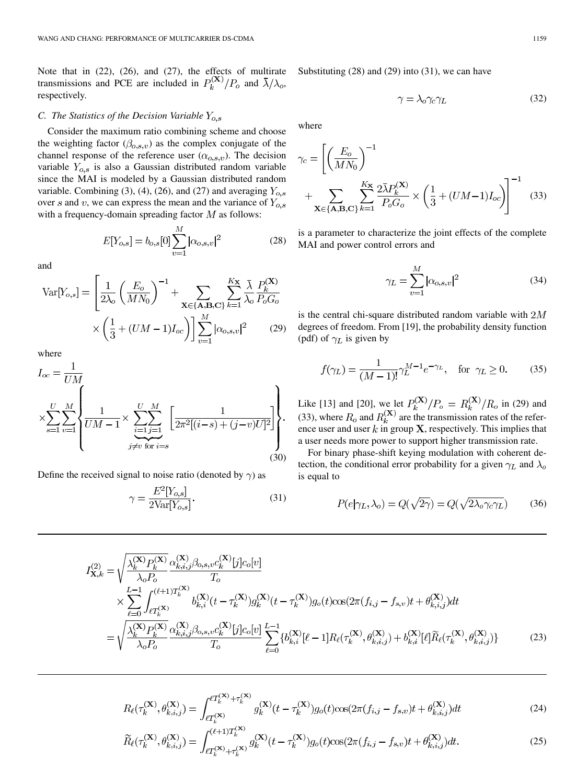Note that in (22), (26), and (27), the effects of multirate transmissions and PCE are included in  $P_k^{(\mathbf{X})}/P_o$  and  $\bar{\lambda}/\lambda_o$ , respectively.

# *C. The Statistics of the Decision Variable*

Consider the maximum ratio combining scheme and choose the weighting factor  $(\beta_{o,s,v})$  as the complex conjugate of the channel response of the reference user  $(\alpha_{o,s,v})$ . The decision variable  $Y_{o,s}$  is also a Gaussian distributed random variable since the MAI is modeled by a Gaussian distributed random variable. Combining (3), (4), (26), and (27) and averaging  $Y_{o,s}$ over s and v, we can express the mean and the variance of  $Y_{o,s}$ with a frequency-domain spreading factor  $M$  as follows:

$$
E[Y_{o,s}] = b_{o,s}[0] \sum_{v=1}^{M} |\alpha_{o,s,v}|^2
$$
 (28)

and

$$
\text{Var}[Y_{o,s}] = \left[ \frac{1}{2\lambda_o} \left( \frac{E_o}{MN_0} \right)^{-1} + \sum_{\mathbf{X} \in \{\mathbf{A}, \mathbf{B}, \mathbf{C}\}} \sum_{k=1}^{K_{\mathbf{X}}} \frac{\bar{\lambda}}{\lambda_o} \frac{P_k^{(\mathbf{X})}}{P_o G_o} \times \left( \frac{1}{3} + (UM - 1)I_{oc} \right) \right] \sum_{v=1}^{M} |\alpha_{o,s,v}|^2 \tag{29}
$$

where

$$
I_{oc} = \frac{1}{UM}
$$
  
 
$$
\times \sum_{s=1}^{U} \sum_{v=1}^{M} \left\{ \frac{1}{UM - 1} \times \sum_{\substack{i=1 \ j=1}}^{U} \sum_{j=1}^{M} \left[ \frac{1}{2\pi^{2}[(i-s) + (j-v)U]^{2}} \right] \right\}.
$$
  
(30)

Define the received signal to noise ratio (denoted by  $\gamma$ ) as

$$
\gamma = \frac{E^2[Y_{o,s}]}{2\text{Var}[Y_{o,s}]}. \tag{31}
$$

Substituting (28) and (29) into (31), we can have

$$
\gamma = \lambda_o \gamma_c \gamma_L \tag{32}
$$

where

$$
\gamma_c = \left[ \left( \frac{E_o}{MN_0} \right)^{-1} + \sum_{\mathbf{X} \in \{\mathbf{A}, \mathbf{B}, \mathbf{C}\}} \sum_{k=1}^{K_{\mathbf{X}}} \frac{2\bar{\lambda} P_k^{(\mathbf{X})}}{P_o G_o} \times \left( \frac{1}{3} + (UM - 1) I_{oc} \right) \right]^{-1}
$$
(33)

is a parameter to characterize the joint effects of the complete MAI and power control errors and

$$
\gamma_L = \sum_{v=1}^{M} |\alpha_{o,s,v}|^2 \tag{34}
$$

is the central chi-square distributed random variable with  $2M$ degrees of freedom. From [\[19](#page-11-0)], the probability density function (pdf) of  $\gamma_L$  is given by

$$
f(\gamma_L) = \frac{1}{(M-1)!} \gamma_L^{M-1} e^{-\gamma_L}, \text{ for } \gamma_L \ge 0.
$$
 (35)

Like [[13\]](#page-11-0) and [[20\]](#page-11-0), we let  $P_k^{(\mathbf{A})}/P_o = R_k^{(\mathbf{A})}/R_o$  in (29) and (33), where  $R_o$  and  $R_k^{(\mathbf{A})}$  are the transmission rates of the reference user and user  $k$  in group  $X$ , respectively. This implies that a user needs more power to support higher transmission rate.

For binary phase-shift keying modulation with coherent detection, the conditional error probability for a given  $\gamma_L$  and  $\lambda_o$ is equal to

$$
P(e|\gamma_L, \lambda_o) = Q(\sqrt{2\gamma}) = Q(\sqrt{2\lambda_o \gamma_c \gamma_L})
$$
 (36)

$$
I_{\mathbf{X},k}^{(2)} = \sqrt{\frac{\lambda_k^{(\mathbf{X})} P_k^{(\mathbf{X})}}{\lambda_o P_o}} \frac{\alpha_{k,i,j}^{(\mathbf{X})} \beta_{o,s,v} c_k^{(\mathbf{X})}[j] c_o[v]}{T_o}
$$
  
\n
$$
\times \sum_{\ell=0}^{L-1} \int_{\ell T_k^{(\mathbf{X})}}^{(\ell+1)T_k^{(\mathbf{X})}} b_{k,i}^{(\mathbf{X})}(t-\tau_k^{(\mathbf{X})}) g_k^{(\mathbf{X})}(t-\tau_k^{(\mathbf{X})}) g_o(t) \cos(2\pi (f_{i,j} - f_{s,v})t + \theta_{k,i,j}^{(\mathbf{X})}) dt
$$
  
\n
$$
= \sqrt{\frac{\lambda_k^{(\mathbf{X})} P_k^{(\mathbf{X})}}{\lambda_o P_o}} \frac{\alpha_{k,i,j}^{(\mathbf{X})} \beta_{o,s,v} c_k^{(\mathbf{X})}[j] c_o[v]}{T_o} \sum_{\ell=0}^{L-1} \{b_{k,i}^{(\mathbf{X})}[\ell-1] R_\ell(\tau_k^{(\mathbf{X})}, \theta_{k,i,j}^{(\mathbf{X})}) + b_{k,i}^{(\mathbf{X})}[l] \widetilde{R}_\ell(\tau_k^{(\mathbf{X})}, \theta_{k,i,j}^{(\mathbf{X})})\}
$$
(23)

$$
R_{\ell}(\tau_k^{(\mathbf{X})}, \theta_{k,i,j}^{(\mathbf{X})}) = \int_{\ell T_k^{(\mathbf{X})}}^{\ell T_k^{(\mathbf{X})} + \tau_k^{(\mathbf{X})}} g_k^{(\mathbf{X})}(t - \tau_k^{(\mathbf{X})}) g_o(t) \cos(2\pi (f_{i,j} - f_{s,v})t + \theta_{k,i,j}^{(\mathbf{X})}) dt
$$
(24)

$$
\widetilde{R}_{\ell}(\tau_k^{(\mathbf{X})}, \theta_{k,i,j}^{(\mathbf{X})}) = \int_{\ell T_k^{(\mathbf{X})} + \tau_k^{(\mathbf{X})}}^{\ell(\ell+1)T_k^{(\mathbf{X})}} g_k^{(\mathbf{X})}(t - \tau_k^{(\mathbf{X})}) g_o(t) \cos(2\pi (f_{i,j} - f_{s,v})t + \theta_{k,i,j}^{(\mathbf{X})}) dt.
$$
\n(25)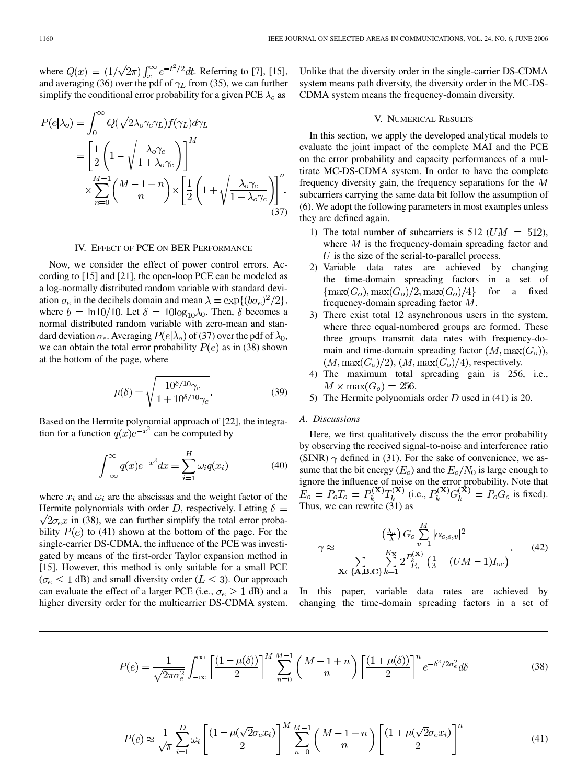where  $Q(x) = (1/\sqrt{2\pi}) \int_x^{\infty} e^{-t^2/2} dt$ . Referring to [[7\]](#page-11-0), [[15\]](#page-11-0), and averaging (36) over the pdf of  $\gamma_L$  from (35), we can further simplify the conditional error probability for a given PCE  $\lambda_o$  as

$$
P(e|\lambda_o) = \int_0^\infty Q(\sqrt{2\lambda_o \gamma_c \gamma_L}) f(\gamma_L) d\gamma_L
$$
  
= 
$$
\left[ \frac{1}{2} \left( 1 - \sqrt{\frac{\lambda_o \gamma_c}{1 + \lambda_o \gamma_c}} \right) \right]^M
$$
  

$$
\times \sum_{n=0}^{M-1} {M-1+n \choose n} \times \left[ \frac{1}{2} \left( 1 + \sqrt{\frac{\lambda_o \gamma_c}{1 + \lambda_o \gamma_c}} \right) \right]^n.
$$
 (37)

#### IV. EFFECT OF PCE ON BER PERFORMANCE

Now, we consider the effect of power control errors. According to [[15\]](#page-11-0) and [[21\]](#page-11-0), the open-loop PCE can be modeled as a log-normally distributed random variable with standard deviation  $\sigma_e$  in the decibels domain and mean  $\bar{\lambda} = \exp\{(b\sigma_e)^2/2\},\$ where  $b = \ln 10/10$ . Let  $\delta = 10 \log_{10} \lambda_0$ . Then,  $\delta$  becomes a normal distributed random variable with zero-mean and standard deviation  $\sigma_e$ . Averaging  $P(e|\lambda_o)$  of (37) over the pdf of  $\lambda_0$ , we can obtain the total error probability  $P(e)$  as in (38) shown at the bottom of the page, where

$$
\mu(\delta) = \sqrt{\frac{10^{\delta/10}\gamma_c}{1 + 10^{\delta/10}\gamma_c}}.\tag{39}
$$

Based on the Hermite polynomial approach of [[22\]](#page-11-0), the integration for a function  $q(x)e^{-x^2}$  can be computed by

$$
\int_{-\infty}^{\infty} q(x)e^{-x^2} dx = \sum_{i=1}^{H} \omega_i q(x_i)
$$
 (40)

where  $x_i$  and  $\omega_i$  are the abscissas and the weight factor of the Hermite polynomials with order D, respectively. Letting  $\delta =$  $\sqrt{2\sigma_e x}$  in (38), we can further simplify the total error probability  $P(e)$  to (41) shown at the bottom of the page. For the single-carrier DS-CDMA, the influence of the PCE was investigated by means of the first-order Taylor expansion method in [[15\]](#page-11-0). However, this method is only suitable for a small PCE  $(\sigma_e \leq 1$  dB) and small diversity order ( $L \leq 3$ ). Our approach can evaluate the effect of a larger PCE (i.e.,  $\sigma_e \geq 1$  dB) and a higher diversity order for the multicarrier DS-CDMA system. Unlike that the diversity order in the single-carrier DS-CDMA system means path diversity, the diversity order in the MC-DS-CDMA system means the frequency-domain diversity.

#### V. NUMERICAL RESULTS

In this section, we apply the developed analytical models to evaluate the joint impact of the complete MAI and the PCE on the error probability and capacity performances of a multirate MC-DS-CDMA system. In order to have the complete frequency diversity gain, the frequency separations for the  $M$ subcarriers carrying the same data bit follow the assumption of (6). We adopt the following parameters in most examples unless they are defined again.

- 1) The total number of subcarriers is 512 ( $UM = 512$ ), where  $M$  is the frequency-domain spreading factor and  $U$  is the size of the serial-to-parallel process.
- 2) Variable data rates are achieved by changing the time-domain spreading factors in a set of  $\{\max(G_o), \max(G_o)/2, \max(G_o)/4\}$ for a fixed frequency-domain spreading factor  $M$ .
- 3) There exist total 12 asynchronous users in the system, where three equal-numbered groups are formed. These three groups transmit data rates with frequency-domain and time-domain spreading factor  $(M, \max(G_o)),$  $(M, \max(G_o)/2)$ ,  $(M, \max(G_o)/4)$ , respectively.
- 4) The maximum total spreading gain is 256, i.e.,  $M \times \max(G_o) = 256.$
- 5) The Hermite polynomials order  $D$  used in (41) is 20.

#### *A. Discussions*

Here, we first qualitatively discuss the the error probability by observing the received signal-to-noise and interference ratio (SINR)  $\gamma$  defined in (31). For the sake of convenience, we assume that the bit energy  $(E_o)$  and the  $E_o/N_0$  is large enough to ignore the influence of noise on the error probability. Note that (i.e.,  $P_k^{(\mathbf{A})} G_k^{(\mathbf{A})} = P_o G_o$  is fixed). Thus, we can rewrite (31) as

$$
\gamma \approx \frac{\left(\frac{\lambda_o}{\lambda}\right) G_o \sum\limits_{v=1}^M |\alpha_{o,s,v}|^2}{\sum\limits_{\mathbf{X} \in \{\mathbf{A}, \mathbf{B}, \mathbf{C}\}} \sum\limits_{k=1}^{K_{\mathbf{X}}} 2 \frac{P_k^{(\mathbf{X})}}{P_o} \left(\frac{1}{3} + (UM - 1)I_{oc}\right)}.
$$
(42)

In this paper, variable data rates are achieved by changing the time-domain spreading factors in a set of

$$
P(e) = \frac{1}{\sqrt{2\pi\sigma_e^2}} \int_{-\infty}^{\infty} \left[ \frac{(1-\mu(\delta))}{2} \right]^M \sum_{n=0}^{M-1} \binom{M-1+n}{n} \left[ \frac{(1+\mu(\delta))}{2} \right]^n e^{-\delta^2/2\sigma_e^2} d\delta \tag{38}
$$

$$
P(e) \approx \frac{1}{\sqrt{\pi}} \sum_{i=1}^{D} \omega_i \left[ \frac{\left(1 - \mu(\sqrt{2}\sigma_e x_i)\right)^M \sum_{n=0}^{M-1} \binom{M-1+n}{n} \left[ \frac{\left(1 + \mu(\sqrt{2}\sigma_e x_i)\right)^n}{2} \right]^n \right] \tag{41}
$$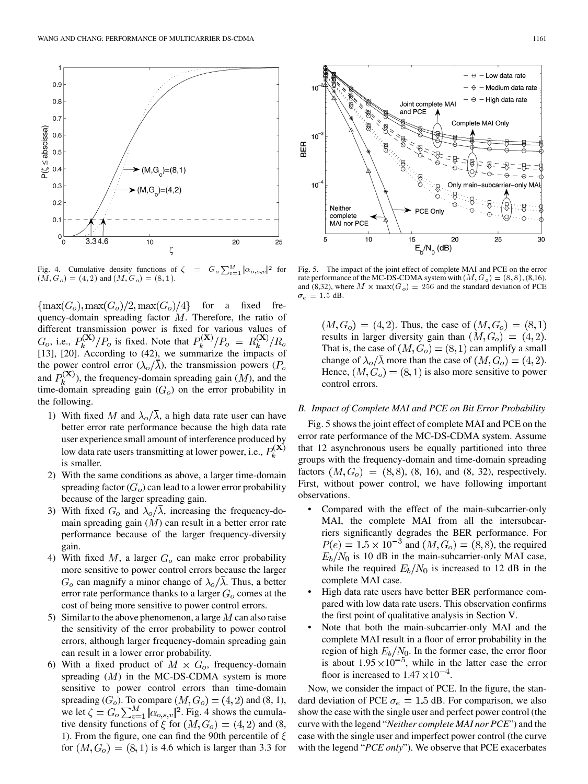

Fig. 4. Cumulative density functions of  $\zeta = G_o \sum_{v=1}^{M} |\alpha_{o,s,v}|^2$  for  $(M, G_o) = (4, 2)$  and  $(M, G_o) = (8, 1)$ .

 $\{\max(G_o), \max(G_o)/2, \max(G_o)/4\}$  for a fixed frequency-domain spreading factor  $M$ . Therefore, the ratio of different transmission power is fixed for various values of , i.e.,  $P_k^{(\mathbf{A})}/P_o$  is fixed. Note that [\[13](#page-11-0)], [[20\]](#page-11-0). According to (42), we summarize the impacts of the power control error  $(\lambda_o/\overline{\lambda})$ , the transmission powers ( $P_o$ ) and  $P_k^{(\mathbf{X})}$ , the frequency-domain spreading gain  $(M)$ , and the time-domain spreading gain  $(G<sub>o</sub>)$  on the error probability in the following.

- 1) With fixed M and  $\lambda_o/\overline{\lambda}$ , a high data rate user can have better error rate performance because the high data rate user experience small amount of interference produced by low data rate users transmitting at lower power, i.e.,  $P_k^{(\mathbf{X})}$ is smaller.
- 2) With the same conditions as above, a larger time-domain spreading factor  $(G<sub>o</sub>)$  can lead to a lower error probability because of the larger spreading gain.
- 3) With fixed  $G_0$  and  $\lambda_o/\overline{\lambda}$ , increasing the frequency-domain spreading gain  $(M)$  can result in a better error rate performance because of the larger frequency-diversity gain.
- 4) With fixed  $M$ , a larger  $G<sub>o</sub>$  can make error probability more sensitive to power control errors because the larger  $G<sub>o</sub>$  can magnify a minor change of  $\lambda_o/\overline{\lambda}$ . Thus, a better error rate performance thanks to a larger  $G<sub>o</sub>$  comes at the cost of being more sensitive to power control errors.
- 5) Similar to the above phenomenon, a large  $M$  can also raise the sensitivity of the error probability to power control errors, although larger frequency-domain spreading gain can result in a lower error probability.
- 6) With a fixed product of  $M \times G_o$ , frequency-domain spreading  $(M)$  in the MC-DS-CDMA system is more sensitive to power control errors than time-domain spreading  $(G<sub>o</sub>)$ . To compare  $(M, G<sub>o</sub>) = (4, 2)$  and  $(8, 1)$ , we let  $\zeta = G_0 \sum_{v=1}^{M} |\alpha_{o,s,v}|^2$ . Fig. 4 shows the cumulative density functions of  $\xi$  for  $(M, G_o) = (4, 2)$  and (8, 1). From the figure, one can find the 90th percentile of  $\xi$ for  $(M, G<sub>o</sub>) = (8, 1)$  is 4.6 which is larger than 3.3 for



Fig. 5. The impact of the joint effect of complete MAI and PCE on the error rate performance of the MC-DS-CDMA system with  $(M, G_o) = (8, 8), (8, 16),$ and (8,32), where  $M \times \max(G_o) = 256$  and the standard deviation of PCE  $\sigma_e \, = \, 1.5$  dB.

 $(M, G_o) = (4, 2)$ . Thus, the case of  $(M, G_o) = (8, 1)$ results in larger diversity gain than  $(M, G_o) = (4, 2)$ . That is, the case of  $(M, G<sub>o</sub>) = (8, 1)$  can amplify a small change of  $\lambda_o/\lambda$  more than the case of  $(M, G_o) = (4, 2)$ . Hence,  $(M, G<sub>o</sub>) = (8, 1)$  is also more sensitive to power control errors.

## *B. Impact of Complete MAI and PCE on Bit Error Probability*

Fig. 5 shows the joint effect of complete MAI and PCE on the error rate performance of the MC-DS-CDMA system. Assume that 12 asynchronous users be equally partitioned into three groups with the frequency-domain and time-domain spreading factors  $(M, G_o) = (8, 8)$ ,  $(8, 16)$ , and  $(8, 32)$ , respectively. First, without power control, we have following important observations.

- Compared with the effect of the main-subcarrier-only MAI, the complete MAI from all the intersubcarriers significantly degrades the BER performance. For  $P(e) = 1.5 \times 10^{-3}$  and  $(M, G_o) = (8, 8)$ , the required  $E_b/N_0$  is 10 dB in the main-subcarrier-only MAI case, while the required  $E_b/N_0$  is increased to 12 dB in the complete MAI case.
- High data rate users have better BER performance compared with low data rate users. This observation confirms the first point of qualitative analysis in Section V.
- Note that both the main-subcarrier-only MAI and the complete MAI result in a floor of error probability in the region of high  $E_b/N_0$ . In the former case, the error floor is about  $1.95 \times 10^{-5}$ , while in the latter case the error floor is increased to  $1.47 \times 10^{-4}$ .

Now, we consider the impact of PCE. In the figure, the standard deviation of PCE  $\sigma_e = 1.5$  dB. For comparison, we also show the case with the single user and perfect power control (the curve with the legend "*Neither complete MAI nor PCE*") and the case with the single user and imperfect power control (the curve with the legend "*PCE only*"). We observe that PCE exacerbates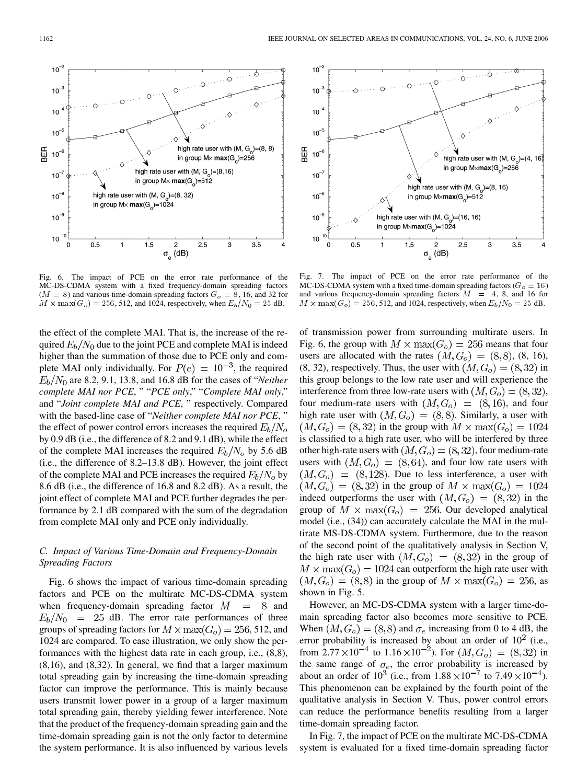

Fig. 6. The impact of PCE on the error rate performance of the MC-DS-CDMA system with a fixed frequency-domain spreading factors  $(M = 8)$  and various time-domain spreading factors  $G<sub>o</sub> = 8$ , 16, and 32 for  $M \times \max(G_o) = 256, 512,$  and 1024, respectively, when  $E_b/N_0 = 25$  dB.

the effect of the complete MAI. That is, the increase of the required  $E_h/N_0$  due to the joint PCE and complete MAI is indeed higher than the summation of those due to PCE only and complete MAI only individually. For  $P(e) = 10^{-3}$ , the required  $E_b/N_0$  are 8.2, 9.1, 13.8, and 16.8 dB for the cases of "*Neither complete MAI nor PCE*, " "*PCE only*," "*Complete MAI only*," and "*Joint complete MAI and PCE*, " respectively. Compared with the based-line case of "*Neither complete MAI nor PCE*, " the effect of power control errors increases the required  $E_b/N_o$ by 0.9 dB (i.e., the difference of 8.2 and 9.1 dB), while the effect of the complete MAI increases the required  $E_b/N_o$  by 5.6 dB (i.e., the difference of 8.2–13.8 dB). However, the joint effect of the complete MAI and PCE increases the required  $E_b/N_a$  by 8.6 dB (i.e., the difference of 16.8 and 8.2 dB). As a result, the joint effect of complete MAI and PCE further degrades the performance by 2.1 dB compared with the sum of the degradation from complete MAI only and PCE only individually.

# *C. Impact of Various Time-Domain and Frequency-Domain Spreading Factors*

Fig. 6 shows the impact of various time-domain spreading factors and PCE on the multirate MC-DS-CDMA system when frequency-domain spreading factor  $M = 8$  and  $E_b/N_0$  = 25 dB. The error rate performances of three groups of spreading factors for  $M \times \max(G_o) = 256, 512,$  and 1024 are compared. To ease illustration, we only show the performances with the highest data rate in each group, i.e., (8,8), (8,16), and (8,32). In general, we find that a larger maximum total spreading gain by increasing the time-domain spreading factor can improve the performance. This is mainly because users transmit lower power in a group of a larger maximum total spreading gain, thereby yielding fewer interference. Note that the product of the frequency-domain spreading gain and the time-domain spreading gain is not the only factor to determine the system performance. It is also influenced by various levels



Fig. 7. The impact of PCE on the error rate performance of the MC-DS-CDMA system with a fixed time-domain spreading factors ( $G_o = 16$ ) and various frequency-domain spreading factors  $M = 4$ , 8, and 16 for  $M \times \max(G_o) = 256, 512, \text{ and } 1024$ , respectively, when  $E_b/N_0 = 25$  dB.

of transmission power from surrounding multirate users. In Fig. 6, the group with  $M \times \max(G_{\alpha}) = 256$  means that four users are allocated with the rates  $(M, G_o) = (8, 8), (8, 16),$  $(8, 32)$ , respectively. Thus, the user with  $(M, G_0) = (8, 32)$  in this group belongs to the low rate user and will experience the interference from three low-rate users with  $(M, G_0) = (8, 32)$ , four medium-rate users with  $(M, G<sub>o</sub>) = (8, 16)$ , and four high rate user with  $(M, G_{\mathfrak{o}}) = (8, 8)$ . Similarly, a user with  $(M, G_o) = (8, 32)$  in the group with  $M \times \max(G_o) = 1024$ is classified to a high rate user, who will be interfered by three other high-rate users with  $(M, G_o) = (8, 32)$ , four medium-rate users with  $(M, G<sub>o</sub>) = (8, 64)$ , and four low rate users with  $(M, G_o) = (8, 128)$ . Due to less interference, a user with  $(M, G_o) = (8, 32)$  in the group of  $M \times \max(G_o) = 1024$ indeed outperforms the user with  $(M, G_{o}) = (8, 32)$  in the group of  $M \times \max(G_o) = 256$ . Our developed analytical model (i.e., (34)) can accurately calculate the MAI in the multirate MS-DS-CDMA system. Furthermore, due to the reason of the second point of the qualitatively analysis in Section V, the high rate user with  $(M, G_o) = (8, 32)$  in the group of  $M \times \max(G_{o}) = 1024$  can outperform the high rate user with  $(M, G_o) = (8, 8)$  in the group of  $M \times \max(G_o) = 256$ , as shown in Fig. 5.

However, an MC-DS-CDMA system with a larger time-domain spreading factor also becomes more sensitive to PCE. When  $(M, G<sub>o</sub>) = (8, 8)$  and  $\sigma_e$  increasing from 0 to 4 dB, the error probability is increased by about an order of  $10^2$  (i.e., from  $2.77 \times 10^{-4}$  to  $1.16 \times 10^{-2}$ ). For  $(M, G_o) = (8, 32)$  in the same range of  $\sigma_e$ , the error probability is increased by about an order of  $10^3$  (i.e., from  $1.88 \times 10^{-7}$  to  $7.49 \times 10^{-4}$ ). This phenomenon can be explained by the fourth point of the qualitative analysis in Section V. Thus, power control errors can reduce the performance benefits resulting from a larger time-domain spreading factor.

In Fig. 7, the impact of PCE on the multirate MC-DS-CDMA system is evaluated for a fixed time-domain spreading factor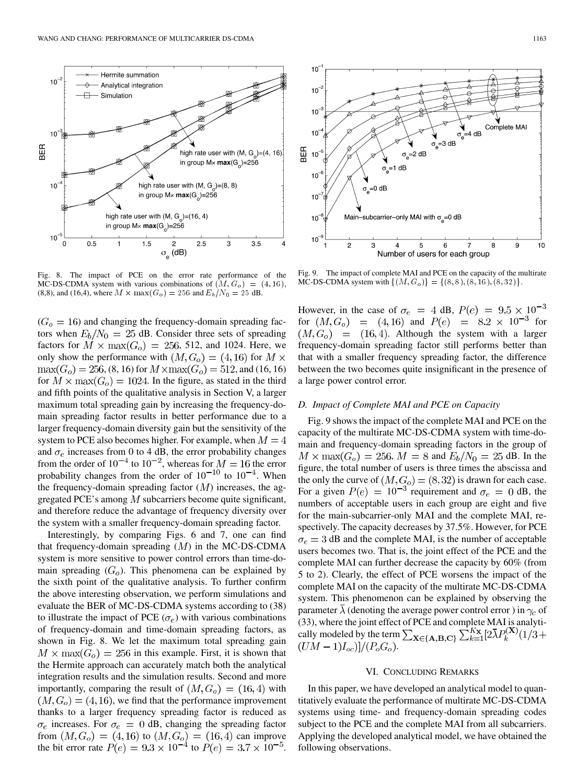

Fig. 8. The impact of PCE on the error rate performance of the MC-DS-CDMA system with various combinations of  $(M, G_o) = (4, 16)$ , (8,8), and (16,4), where  $M \times \max(G_o) = 256$  and  $E_b/N_0 = 25$  dB.

 $(G<sub>o</sub> = 16)$  and changing the frequency-domain spreading factors when  $E_b/N_0 = 25$  dB. Consider three sets of spreading factors for  $M \times \max(G_o) = 256, 512,$  and 1024. Here, we only show the performance with  $(M, G_0) = (4, 16)$  for  $M \times$  $\max(G_o) = 256$ , (8, 16) for  $M \times \max(G_o) = 512$ , and (16, 16) for  $M \times \max(G_o) = 1024$ . In the figure, as stated in the third and fifth points of the qualitative analysis in Section V, a larger maximum total spreading gain by increasing the frequency-domain spreading factor results in better performance due to a larger frequency-domain diversity gain but the sensitivity of the system to PCE also becomes higher. For example, when  $M = 4$ and  $\sigma_e$  increases from 0 to 4 dB, the error probability changes from the order of  $10^{-4}$  to  $10^{-2}$ , whereas for  $M = 16$  the error probability changes from the order of  $10^{-10}$  to  $10^{-4}$ . When the frequency-domain spreading factor  $(M)$  increases, the aggregated PCE's among  $M$  subcarriers become quite significant, and therefore reduce the advantage of frequency diversity over the system with a smaller frequency-domain spreading factor.

Interestingly, by comparing Figs. 6 and 7, one can find that frequency-domain spreading  $(M)$  in the MC-DS-CDMA system is more sensitive to power control errors than time-domain spreading  $(G<sub>o</sub>)$ . This phenomena can be explained by the sixth point of the qualitative analysis. To further confirm the above interesting observation, we perform simulations and evaluate the BER of MC-DS-CDMA systems according to (38) to illustrate the impact of PCE  $(\sigma_e)$  with various combinations of frequency-domain and time-domain spreading factors, as shown in Fig. 8. We let the maximum total spreading gain  $M \times \max(G_o) = 256$  in this example. First, it is shown that the Hermite approach can accurately match both the analytical integration results and the simulation results. Second and more importantly, comparing the result of  $(M, G_0) = (16, 4)$  with  $(M, G<sub>o</sub>) = (4, 16)$ , we find that the performance improvement thanks to a larger frequency spreading factor is reduced as  $\sigma_e$  increases. For  $\sigma_e = 0$  dB, changing the spreading factor from  $(M, G_o) = (4, 16)$  to  $(M, G_o) = (16, 4)$  can improve the bit error rate  $P(e) = 9.3 \times 10^{-4}$  to  $P(e) = 3.7 \times 10^{-5}$ .



Fig. 9. The impact of complete MAI and PCE on the capacity of the multirate MC-DS-CDMA system with  $\{(M, G_o)\} = \{(8, 8), (8, 16), (8, 32)\}.$ 

However, in the case of  $\sigma_e$  = 4 dB,  $P(e)$  = 9.5  $\times$  10<sup>-3</sup> for  $(M, G_o)$  = (4,16) and  $P(e)$  = 8.2 × 10<sup>-3</sup> for  $(M, G<sub>o</sub>) = (16, 4)$ . Although the system with a larger frequency-domain spreading factor still performs better than that with a smaller frequency spreading factor, the difference between the two becomes quite insignificant in the presence of a large power control error.

### *D. Impact of Complete MAI and PCE on Capacity*

Fig. 9 shows the impact of the complete MAI and PCE on the capacity of the multirate MC-DS-CDMA system with time-domain and frequency-domain spreading factors in the group of  $M \times \max(G_o) = 256$ ,  $M = 8$  and  $E_b/N_0 = 25$  dB. In the figure, the total number of users is three times the abscissa and the only the curve of  $(M, G_o) = (8, 32)$  is drawn for each case. For a given  $P(e) = 10^{-3}$  requirement and  $\sigma_e = 0$  dB, the numbers of acceptable users in each group are eight and five for the main-subcarrier-only MAI and the complete MAI, respectively. The capacity decreases by 37.5%. However, for PCE  $\sigma_e = 3$  dB and the complete MAI, is the number of acceptable users becomes two. That is, the joint effect of the PCE and the complete MAI can further decrease the capacity by 60% (from 5 to 2). Clearly, the effect of PCE worsens the impact of the complete MAI on the capacity of the multirate MC-DS-CDMA system. This phenomenon can be explained by observing the parameter  $\overline{\lambda}$  (denoting the average power control error ) in  $\gamma_c$  of (33), where the joint effect of PCE and complete MAI is analytically modeled by the term  $(UM-1)I_{oc})]/(P_oG_o).$ 

### VI. CONCLUDING REMARKS

In this paper, we have developed an analytical model to quantitatively evaluate the performance of multirate MC-DS-CDMA systems using time- and frequency-domain spreading codes subject to the PCE and the complete MAI from all subcarriers. Applying the developed analytical model, we have obtained the following observations.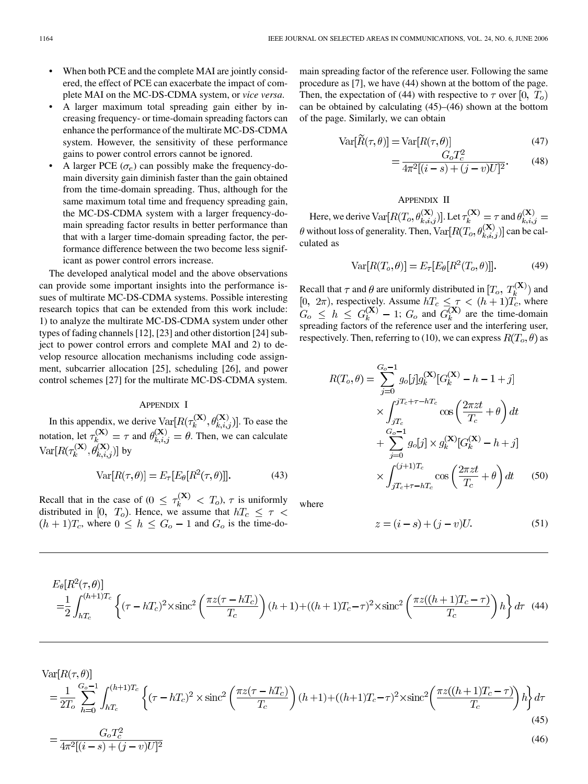- When both PCE and the complete MAI are jointly considered, the effect of PCE can exacerbate the impact of complete MAI on the MC-DS-CDMA system, or *vice versa*.
- A larger maximum total spreading gain either by increasing frequency- or time-domain spreading factors can enhance the performance of the multirate MC-DS-CDMA system. However, the sensitivity of these performance gains to power control errors cannot be ignored.
- A larger PCE  $(\sigma_e)$  can possibly make the frequency-domain diversity gain diminish faster than the gain obtained from the time-domain spreading. Thus, although for the same maximum total time and frequency spreading gain, the MC-DS-CDMA system with a larger frequency-domain spreading factor results in better performance than that with a larger time-domain spreading factor, the performance difference between the two become less significant as power control errors increase.

The developed analytical model and the above observations can provide some important insights into the performance issues of multirate MC-DS-CDMA systems. Possible interesting research topics that can be extended from this work include: 1) to analyze the multirate MC-DS-CDMA system under other types of fading channels [\[12](#page-11-0)], [\[23](#page-11-0)] and other distortion [\[24](#page-11-0)] subject to power control errors and complete MAI and 2) to develop resource allocation mechanisms including code assignment, subcarrier allocation [[25\]](#page-11-0), scheduling [[26\]](#page-11-0), and power control schemes [[27\]](#page-11-0) for the multirate MC-DS-CDMA system.

#### APPENDIX I

In this appendix, we derive  $\text{Var}[R(\tau_k^{(k)}, \theta_{k,i}^{(k)})]$ . To ease the notation, let  $\tau_k^{(\mathbf{A})} = \tau$  and  $\theta_{k,i,j}^{(\mathbf{A})} = \theta$ . Then, we can calculate by

$$
Var[R(\tau,\theta)] = E_{\tau}[E_{\theta}[R^2(\tau,\theta)]]. \tag{43}
$$

Recall that in the case of  $(0 \leq \tau_k^{(1,1)} < T_o)$ ,  $\tau$  is uniformly distributed in  $[0, T<sub>o</sub>)$ . Hence, we assume that  $(h + 1)T_c$ , where  $0 \le h \le G_o - 1$  and  $G_o$  is the time-do-

main spreading factor of the reference user. Following the same procedure as [[7\]](#page-11-0), we have (44) shown at the bottom of the page. Then, the expectation of (44) with respective to  $\tau$  over [0,  $T_o$ ) can be obtained by calculating (45)–(46) shown at the bottom of the page. Similarly, we can obtain

$$
Var[\widetilde{R}(\tau,\theta)] = Var[R(\tau,\theta)]\tag{47}
$$

$$
=\frac{G_o T_c^2}{4\pi^2[(i-s)+(j-v)U]^2}.
$$
 (48)

## APPENDIX II

Here, we derive  $\text{Var}[R(T_o, \theta_{k,i,j}^{(k)})]$ . Let  $\tau_k^{(k)} = \tau$  and without loss of generality. Then,  $Var[R(T_o, \theta_{k,i,j}^{(A)})]$  can be calculated as

$$
Var[R(T_o, \theta)] = E_{\tau}[E_{\theta}[R^2(T_o, \theta)]].
$$
 (49)

Recall that  $\tau$  and  $\theta$  are uniformly distributed in  $[T_o, T_k^{(\mathbf{A})}]$  and , respectively. Assume  $hT_c \leq \tau < (h+1)T_c$ , where ;  $G_o$  and  $G_k^{(\mathbf{A})}$  are the time-domain spreading factors of the reference user and the interfering user, respectively. Then, referring to (10), we can express  $R(T_o, \theta)$  as

$$
R(T_o, \theta) = \sum_{j=0}^{G_o - 1} g_o[j] g_k^{(\mathbf{X})} [G_k^{(\mathbf{X})} - h - 1 + j]
$$
  
\n
$$
\times \int_{jT_c}^{jT_c + \tau - hT_c} \cos\left(\frac{2\pi z t}{T_c} + \theta\right) dt
$$
  
\n
$$
+ \sum_{j=0}^{G_o - 1} g_o[j] \times g_k^{(\mathbf{X})} [G_k^{(\mathbf{X})} - h + j]
$$
  
\n
$$
\times \int_{jT_c + \tau - hT_c}^{(j+1)T_c} \cos\left(\frac{2\pi z t}{T_c} + \theta\right) dt
$$
(50)

where

$$
z = (i - s) + (j - v)U.
$$
 (51)

$$
E_{\theta}[R^{2}(\tau,\theta)] = \frac{1}{2} \int_{hT_{c}}^{(h+1)T_{c}} \left\{ (\tau - hT_{c})^{2} \times \text{sinc}^{2} \left( \frac{\pi z(\tau - hT_{c})}{T_{c}} \right) (h+1) + ((h+1)T_{c} - \tau)^{2} \times \text{sinc}^{2} \left( \frac{\pi z((h+1)T_{c} - \tau)}{T_{c}} \right) h \right\} d\tau \tag{44}
$$

$$
\begin{split} \text{Var}[R(\tau,\theta)]\\ &= \frac{1}{2T_o} \sum_{h=0}^{G_o-1} \int_{hT_c}^{(h+1)T_c} \left\{ (\tau - hT_c)^2 \times \text{sinc}^2 \left( \frac{\pi z (\tau - hT_c)}{T_c} \right) (h+1) + ((h+1)T_c - \tau)^2 \times \text{sinc}^2 \left( \frac{\pi z ((h+1)T_c - \tau)}{T_c} \right) h \right\} d\tau \\ &= \frac{G_o T_c^2}{4\pi^2 [(i-s) + (j-v)U]^2} \end{split} \tag{46}
$$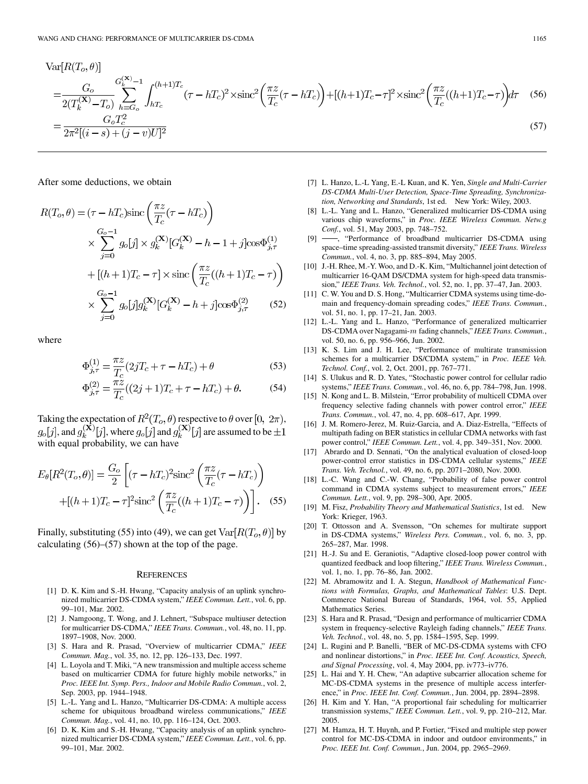<span id="page-11-0"></span>

#### After some deductions, we obtain

$$
R(T_o, \theta) = (\tau - hT_c)\operatorname{sinc}\left(\frac{\pi z}{T_c}(\tau - hT_c)\right)
$$
  
 
$$
\times \sum_{j=0}^{G_o - 1} g_o[j] \times g_k^{(\mathbf{X})} [G_k^{(\mathbf{X})} - h - 1 + j]\operatorname{cos}\Phi_{j,\tau}^{(1)}
$$
  
+ 
$$
[(h+1)T_c - \tau] \times \operatorname{sinc}\left(\frac{\pi z}{T_c}((h+1)T_c - \tau)\right)
$$

$$
\times \sum_{j=0}^{G_o - 1} g_o[j] g_k^{(\mathbf{X})} [G_k^{(\mathbf{X})} - h + j] \cos \Phi_{j,\tau}^{(2)} \tag{52}
$$

where

$$
\Phi_{j,\tau}^{(1)} = \frac{\pi z}{T_c} (2jT_c + \tau - hT_c) + \theta
$$
\n(53)

$$
\Phi_{j,\tau}^{(2)} = \frac{\pi z}{T_c}((2j+1)T_c + \tau - hT_c) + \theta.
$$
 (54)

Taking the expectation of  $R^2(T_o, \theta)$  respective to  $\theta$  over  $[0, 2\pi)$ , , and  $g_k^{(\mathbf{A})}[j]$ , where  $g_o[j]$  and  $g_k^{(\mathbf{A})}[j]$  are assumed to be with equal probability, we can have

$$
E_{\theta}[R^2(T_o, \theta)] = \frac{G_o}{2} \left[ (\tau - hT_c)^2 \text{sinc}^2 \left( \frac{\pi z}{T_c} (\tau - hT_c) \right) + [(h+1)T_c - \tau]^2 \text{sinc}^2 \left( \frac{\pi z}{T_c} ((h+1)T_c - \tau) \right) \right].
$$
 (55)

Finally, substituting (55) into (49), we can get  $\text{Var}[R(T_o, \theta)]$  by calculating (56)–(57) shown at the top of the page.

#### **REFERENCES**

- [1] D. K. Kim and S.-H. Hwang, "Capacity analysis of an uplink synchronized multicarrier DS-CDMA system," *IEEE Commun. Lett.*, vol. 6, pp. 99–101, Mar. 2002.
- [2] J. Namgoong, T. Wong, and J. Lehnert, "Subspace multiuser detection for multicarrier DS-CDMA," *IEEE Trans. Commun.*, vol. 48, no. 11, pp. 1897–1908, Nov. 2000.
- [3] S. Hara and R. Prasad, "Overview of multicarrier CDMA," *IEEE Commun. Mag.*, vol. 35, no. 12, pp. 126–133, Dec. 1997.
- [4] L. Loyola and T. Miki, "A new transmission and multiple access scheme based on multicarrier CDMA for future highly mobile networks," in *Proc. IEEE Int. Symp. Pers., Indoor and Mobile Radio Commun.*, vol. 2, Sep. 2003, pp. 1944–1948.
- [5] L.-L. Yang and L. Hanzo, "Multicarrier DS-CDMA: A multiple access scheme for ubiquitous broadband wireless communications," *IEEE Commun. Mag.*, vol. 41, no. 10, pp. 116–124, Oct. 2003.
- [6] D. K. Kim and S.-H. Hwang, "Capacity analysis of an uplink synchronized multicarrier DS-CDMA system," *IEEE Commun. Lett.*, vol. 6, pp. 99–101, Mar. 2002.
- [7] L. Hanzo, L.-L Yang, E.-L Kuan, and K. Yen, *Single and Multi-Carrier DS-CDMA Multi-User Detection, Space-Time Spreading, Synchronization, Networking and Standards*, 1st ed. New York: Wiley, 2003.
- [8] L.-L. Yang and L. Hanzo, "Generalized multicarrier DS-CDMA using various chip waveforms," in *Proc. IEEE Wireless Commun. Netw.g Conf.*, vol. 51, May 2003, pp. 748–752.
- [9] -, "Performance of broadband multicarrier DS-CDMA using space–time spreading-assisted transmit diversity," *IEEE Trans. Wireless Commun.*, vol. 4, no. 3, pp. 885–894, May 2005.
- [10] J.-H. Rhee, M.-Y. Woo, and D.-K. Kim, "Multichannel joint detection of multicarrier 16-QAM DS/CDMA system for high-speed data transmission," *IEEE Trans. Veh. Technol.*, vol. 52, no. 1, pp. 37–47, Jan. 2003.
- [11] C. W. You and D. S. Hong, "Multicarrier CDMA systems using time-domain and frequency-domain spreading codes," *IEEE Trans. Commun.*, vol. 51, no. 1, pp. 17–21, Jan. 2003.
- [12] L.-L. Yang and L. Hanzo, "Performance of generalized multicarrier DS-CDMA over Nagagami-m fading channels," *IEEE Trans. Commun.*, vol. 50, no. 6, pp. 956–966, Jun. 2002.
- [13] K. S. Lim and J. H. Lee, "Performance of multirate transmission schemes for a multicarrier DS/CDMA system," in *Proc. IEEE Veh. Technol. Conf.*, vol. 2, Oct. 2001, pp. 767–771.
- [14] S. Ulukus and R. D. Yates, "Stochastic power control for cellular radio systems," *IEEE Trans. Commun.*, vol. 46, no. 6, pp. 784–798, Jun. 1998.
- [15] N. Kong and L. B. Milstein, "Error probability of multicell CDMA over frequency selective fading channels with power control error," *IEEE Trans. Commun.*, vol. 47, no. 4, pp. 608–617, Apr. 1999.
- [16] J. M. Romero-Jerez, M. Ruiz-Garcia, and A. Diaz-Estrella, "Effects of multipath fading on BER statistics in cellular CDMA networks with fast power control," *IEEE Commun. Lett.*, vol. 4, pp. 349–351, Nov. 2000.
- [17] Abrardo and D. Sennati, "On the analytical evaluation of closed-loop power-control error statistics in DS-CDMA cellular systems," *IEEE Trans. Veh. Technol.*, vol. 49, no. 6, pp. 2071–2080, Nov. 2000.
- [18] L.-C. Wang and C.-W. Chang, "Probability of false power control command in CDMA systems subject to measurement errors," *IEEE Commun. Lett.*, vol. 9, pp. 298–300, Apr. 2005.
- [19] M. Fisz, *Probability Theory and Mathematical Statistics*, 1st ed. New York: Krieger, 1963.
- [20] T. Ottosson and A. Svensson, "On schemes for multirate support in DS-CDMA systems," *Wireless Pers. Commun.*, vol. 6, no. 3, pp. 265–287, Mar. 1998.
- [21] H.-J. Su and E. Geraniotis, "Adaptive closed-loop power control with quantized feedback and loop filtering," *IEEE Trans. Wireless Commun.*, vol. 1, no. 1, pp. 76–86, Jan. 2002.
- [22] M. Abramowitz and I. A. Stegun, *Handbook of Mathematical Functions with Formulas, Graphs, and Mathematical Tables*: U.S. Dept. Commerce National Bureau of Standards, 1964, vol. 55, Applied Mathematics Series.
- [23] S. Hara and R. Prasad, "Design and performance of multicarrier CDMA system in frequency-selective Rayleigh fading channels," *IEEE Trans. Veh. Technol.*, vol. 48, no. 5, pp. 1584–1595, Sep. 1999.
- [24] L. Rugini and P. Banelli, "BER of MC-DS-CDMA systems with CFO and nonlinear distortions," in *Proc. IEEE Int. Conf. Acoustics, Speech, and Signal Processing*, vol. 4, May 2004, pp. iv773–iv776.
- [25] L. Hai and Y. H. Chew, "An adaptive subcarrier allocation scheme for MC-DS-CDMA systems in the presence of multiple access interference," in *Proc. IEEE Int. Conf. Commun.*, Jun. 2004, pp. 2894–2898.
- [26] H. Kim and Y. Han, "A proportional fair scheduling for multicarrier transmission systems," *IEEE Commun. Lett.*, vol. 9, pp. 210–212, Mar. 2005.
- [27] M. Hamza, H. T. Huynh, and P. Fortier, "Fixed and multiple step power control for MC-DS-CDMA in indoor and outdoor environments," in *Proc. IEEE Int. Conf. Commun.*, Jun. 2004, pp. 2965–2969.